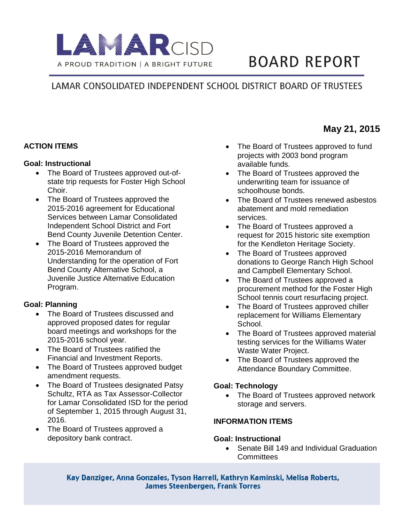

# **BOARD REPORT**

## LAMAR CONSOLIDATED INDEPENDENT SCHOOL DISTRICT BOARD OF TRUSTEES

#### **ACTION ITEMS**

#### **Goal: Instructional**

- The Board of Trustees approved out-ofstate trip requests for Foster High School Choir.
- The Board of Trustees approved the 2015-2016 agreement for Educational Services between Lamar Consolidated Independent School District and Fort Bend County Juvenile Detention Center.
- The Board of Trustees approved the 2015-2016 Memorandum of Understanding for the operation of Fort Bend County Alternative School, a Juvenile Justice Alternative Education Program.

#### **Goal: Planning**

- The Board of Trustees discussed and approved proposed dates for regular board meetings and workshops for the 2015-2016 school year.
- The Board of Trustees ratified the Financial and Investment Reports.
- The Board of Trustees approved budget amendment requests.
- The Board of Trustees designated Patsy Schultz, RTA as Tax Assessor-Collector for Lamar Consolidated ISD for the period of September 1, 2015 through August 31, 2016.
- The Board of Trustees approved a depository bank contract.
- The Board of Trustees approved to fund projects with 2003 bond program available funds.
- The Board of Trustees approved the underwriting team for issuance of schoolhouse bonds.
- The Board of Trustees renewed asbestos abatement and mold remediation services.
- The Board of Trustees approved a request for 2015 historic site exemption for the Kendleton Heritage Society.
- The Board of Trustees approved donations to George Ranch High School and Campbell Elementary School.
- The Board of Trustees approved a procurement method for the Foster High School tennis court resurfacing project.
- The Board of Trustees approved chiller replacement for Williams Elementary School.
- The Board of Trustees approved material testing services for the Williams Water Waste Water Project.
- The Board of Trustees approved the Attendance Boundary Committee.

#### **Goal: Technology**

• The Board of Trustees approved network storage and servers.

#### **INFORMATION ITEMS**

#### **Goal: Instructional**

• Senate Bill 149 and Individual Graduation **Committees** 

Kay Danziger, Anna Gonzales, Tyson Harrell, Kathryn Kaminski, Melisa Roberts, **James Steenbergen, Frank Torres** 

### **May 21, 2015**